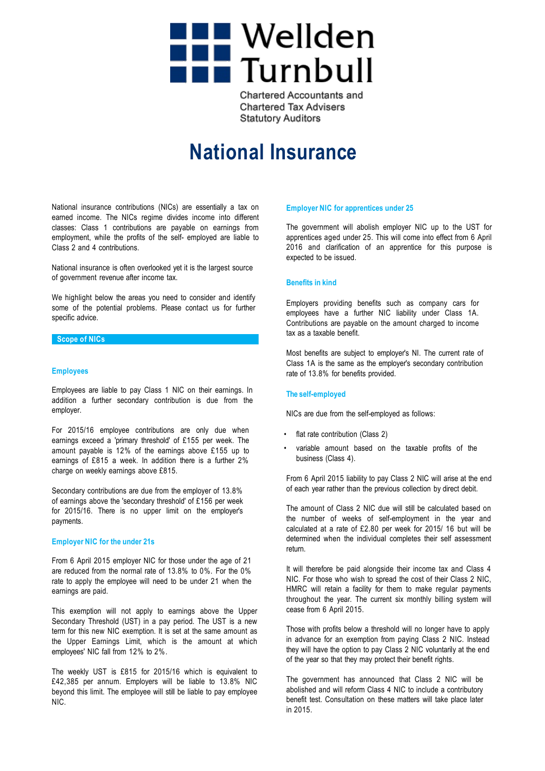

**Chartered Accountants and Chartered Tax Advisers Statutory Auditors** 

# **National Insurance**

National insurance contributions (NICs) are essentially a tax on earned income. The NICs regime divides income into different classes: Class 1 contributions are payable on earnings from employment, while the profits of the self- employed are liable to Class 2 and 4 contributions.

National insurance is often overlooked yet it is the largest source of government revenue after income tax.

We highlight below the areas you need to consider and identify some of the potential problems. Please contact us for further specific advice.

## **Scope of NICs**

## **Employees**

Employees are liable to pay Class 1 NIC on their earnings. In addition a further secondary contribution is due from the employer.

For 2015/16 employee contributions are only due when earnings exceed a 'primary threshold' of £155 per week. The amount payable is 12% of the earnings above £155 up to earnings of £815 a week. In addition there is a further 2% charge on weekly earnings above £815.

Secondary contributions are due from the employer of 13.8% of earnings above the 'secondary threshold' of £156 per week for 2015/16. There is no upper limit on the employer's payments.

## **Employer NIC for the under 21s**

From 6 April 2015 employer NIC for those under the age of 21 are reduced from the normal rate of 13.8% to 0%. For the 0% rate to apply the employee will need to be under 21 when the earnings are paid.

This exemption will not apply to earnings above the Upper Secondary Threshold (UST) in a pay period. The UST is a new term for this new NIC exemption. It is set at the same amount as the Upper Earnings Limit, which is the amount at which employees' NIC fall from 12% to 2%.

The weekly UST is £815 for 2015/16 which is equivalent to £42,385 per annum. Employers will be liable to 13.8% NIC beyond this limit. The employee will still be liable to pay employee NIC.

### **Employer NIC for apprentices under 25**

The government will abolish employer NIC up to the UST for apprentices aged under 25. This will come into effect from 6 April 2016 and clarification of an apprentice for this purpose is expected to be issued.

## **Benefits in kind**

Employers providing benefits such as company cars for employees have a further NIC liability under Class 1A. Contributions are payable on the amount charged to income tax as a taxable benefit.

Most benefits are subject to employer's NI. The current rate of Class 1A is the same as the employer's secondary contribution rate of 13.8% for benefits provided.

## **The self-employed**

NICs are due from the self-employed as follows:

- flat rate contribution (Class 2)
- variable amount based on the taxable profits of the business (Class 4).

From 6 April 2015 liability to pay Class 2 NIC will arise at the end of each year rather than the previous collection by direct debit.

The amount of Class 2 NIC due will still be calculated based on the number of weeks of self-employment in the year and calculated at a rate of £2.80 per week for 2015/ 16 but will be determined when the individual completes their self assessment return.

It will therefore be paid alongside their income tax and Class 4 NIC. For those who wish to spread the cost of their Class 2 NIC, HMRC will retain a facility for them to make regular payments throughout the year. The current six monthly billing system will cease from 6 April 2015.

Those with profits below a threshold will no longer have to apply in advance for an exemption from paying Class 2 NIC. Instead they will have the option to pay Class 2 NIC voluntarily at the end of the year so that they may protect their benefit rights.

The government has announced that Class 2 NIC will be abolished and will reform Class 4 NIC to include a contributory benefit test. Consultation on these matters will take place later in 2015.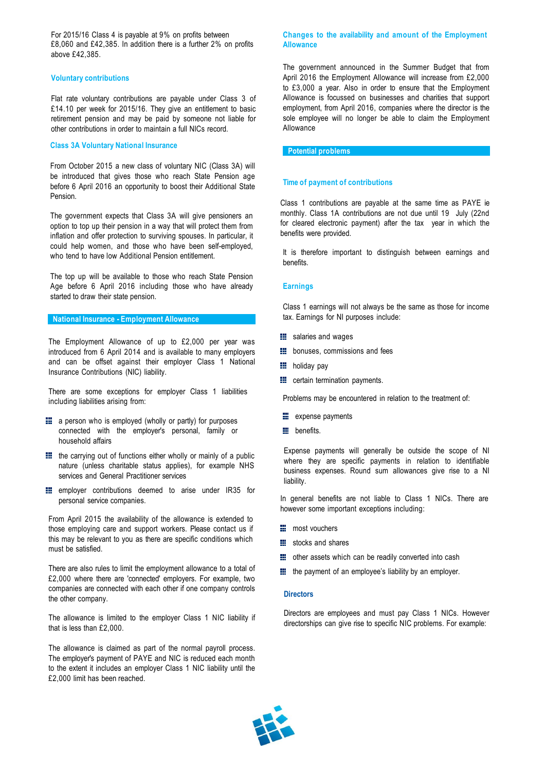For 2015/16 Class 4 is payable at 9% on profits between £8,060 and £42,385. In addition there is a further 2% on profits above £42,385.

## **Voluntary contributions**

Flat rate voluntary contributions are payable under Class 3 of £14.10 per week for 2015/16. They give an entitlement to basic retirement pension and may be paid by someone not liable for other contributions in order to maintain a full NICs record.

## **Class 3A Voluntary National Insurance**

From October 2015 a new class of voluntary NIC (Class 3A) will be introduced that gives those who reach State Pension age before 6 April 2016 an opportunity to boost their Additional State Pension.

The government expects that Class 3A will give pensioners an option to top up their pension in a way that will protect them from inflation and offer protection to surviving spouses. In particular, it could help women, and those who have been self-employed, who tend to have low Additional Pension entitlement.

The top up will be available to those who reach State Pension Age before 6 April 2016 including those who have already started to draw their state pension.

## **National Insurance - Employment Allowance**

The Employment Allowance of up to £2,000 per year was introduced from 6 April 2014 and is available to many employers and can be offset against their employer Class 1 National Insurance Contributions (NIC) liability.

There are some exceptions for employer Class 1 liabilities including liabilities arising from:

- $\equiv$  a person who is employed (wholly or partly) for purposes connected with the employer's personal, family or household affairs
- $\blacksquare$  the carrying out of functions either wholly or mainly of a public nature (unless charitable status applies), for example NHS services and General Practitioner services
- **EXECUTE:** employer contributions deemed to arise under IR35 for personal service companies.

From April 2015 the availability of the allowance is extended to those employing care and support workers. Please contact us if this may be relevant to you as there are specific conditions which must be satisfied.

There are also rules to limit the employment allowance to a total of £2,000 where there are 'connected' employers. For example, two companies are connected with each other if one company controls the other company.

The allowance is limited to the employer Class 1 NIC liability if that is less than £2,000.

The allowance is claimed as part of the normal payroll process. The employer's payment of PAYE and NIC is reduced each month to the extent it includes an employer Class 1 NIC liability until the £2,000 limit has been reached.

## **Changes to the availability and amount of the Employment Allowance**

The government announced in the Summer Budget that from April 2016 the Employment Allowance will increase from £2,000 to £3,000 a year. Also in order to ensure that the Employment Allowance is focussed on businesses and charities that support employment, from April 2016, companies where the director is the sole employee will no longer be able to claim the Employment Allowance

**Potential problems**

## **Time of payment of contributions**

Class 1 contributions are payable at the same time as PAYE ie monthly. Class 1A contributions are not due until 19 July (22nd for cleared electronic payment) after the tax year in which the benefits were provided.

It is therefore important to distinguish between earnings and benefits.

## **Earnings**

Class 1 earnings will not always be the same as those for income tax. Earnings for NI purposes include:

- **iii** salaries and wages
- **Bonuses**, commissions and fees
- **H** holiday pay
- **ED** certain termination payments.

Problems may be encountered in relation to the treatment of:

- **E** expense payments
- **E** benefits.

Expense payments will generally be outside the scope of NI where they are specific payments in relation to identifiable business expenses. Round sum allowances give rise to a NI liability.

In general benefits are not liable to Class 1 NICs. There are however some important exceptions including:

- **E** most vouchers
- **iii** stocks and shares
- other assets which can be readily converted into cash
- **the payment of an employee's liability by an employer.**

#### **Directors**

Directors are employees and must pay Class 1 NICs. However directorships can give rise to specific NIC problems. For example: